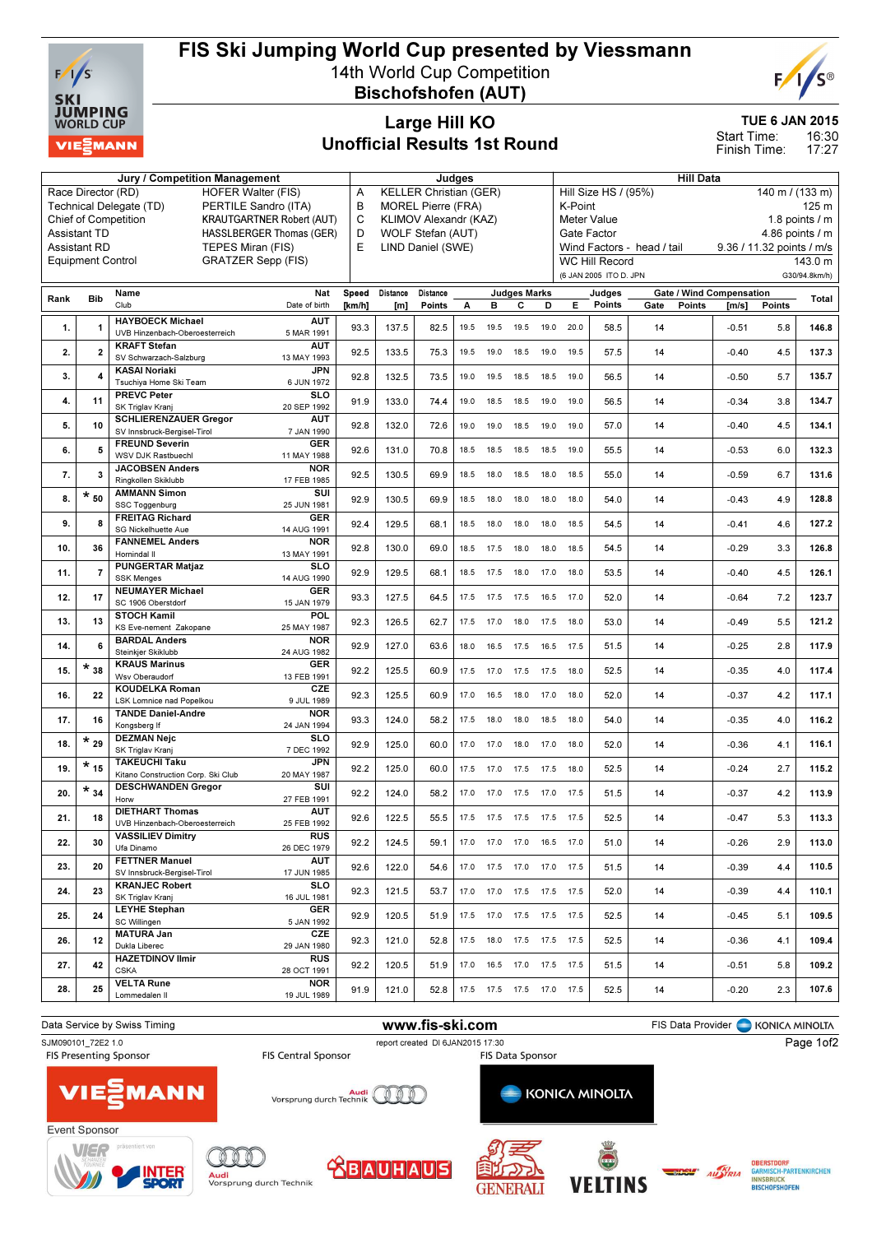

#### FIS Ski Jumping World Cup presented by Viessmann 14th World Cup Competition

Bischofshofen (AUT)



TUE 6 JAN 2015

16:30 17:27 Start Time: Finish Time:

### Large Hill KO Unofficial Results 1st Round

| Jury / Competition Management                   |                          |                                                                           |            |                       | Judges                        |                               |      |           |                              |             | <b>Hill Data</b>                 |                        |                                 |                  |                           |               |
|-------------------------------------------------|--------------------------|---------------------------------------------------------------------------|------------|-----------------------|-------------------------------|-------------------------------|------|-----------|------------------------------|-------------|----------------------------------|------------------------|---------------------------------|------------------|---------------------------|---------------|
|                                                 | Race Director (RD)       | <b>HOFER Walter (FIS)</b>                                                 |            | Α                     |                               | <b>KELLER Christian (GER)</b> |      |           |                              |             |                                  | Hill Size HS / (95%)   |                                 |                  | 140 m / (133 m)           |               |
|                                                 |                          | Technical Delegate (TD)<br>PERTILE Sandro (ITA)                           |            | B                     |                               | <b>MOREL Pierre (FRA)</b>     |      |           |                              |             | K-Point                          |                        |                                 |                  |                           | 125 m         |
|                                                 |                          | <b>KRAUTGARTNER Robert (AUT)</b><br><b>Chief of Competition</b>           | C          | KLIMOV Alexandr (KAZ) |                               |                               |      |           |                              | Meter Value |                                  |                        |                                 | 1.8 points $/$ m |                           |               |
| <b>Assistant TD</b><br>HASSLBERGER Thomas (GER) |                          |                                                                           |            |                       | D<br><b>WOLF Stefan (AUT)</b> |                               |      |           |                              |             | Gate Factor<br>4.86 points $/$ m |                        |                                 |                  |                           |               |
|                                                 | <b>Assistant RD</b>      | TEPES Miran (FIS)                                                         |            | E                     |                               | LIND Daniel (SWE)             |      |           |                              |             |                                  |                        | Wind Factors - head / tail      |                  | 9.36 / 11.32 points / m/s |               |
|                                                 | <b>Equipment Control</b> | <b>GRATZER Sepp (FIS)</b>                                                 |            |                       |                               |                               |      |           |                              |             |                                  | <b>WC Hill Record</b>  |                                 |                  |                           | 143.0 m       |
|                                                 |                          |                                                                           |            |                       |                               |                               |      |           |                              |             |                                  | (6 JAN 2005 ITO D. JPN |                                 |                  |                           | G30/94.8km/h) |
|                                                 |                          |                                                                           |            |                       |                               |                               |      |           |                              |             |                                  |                        |                                 |                  |                           |               |
| Rank                                            | <b>Bib</b>               | Name                                                                      | Nat        | Speed                 | Distance                      | Distance                      |      |           | <b>Judges Marks</b>          |             |                                  | Judges                 | <b>Gate / Wind Compensation</b> |                  |                           | Total         |
|                                                 |                          | Club<br>Date of birth                                                     |            | [km/h]                | [m]                           | Points                        | A    | в         | с                            | D           | Е                                | Points                 | Gate<br>Points                  | [m/s]            | Points                    |               |
|                                                 |                          | <b>HAYBOECK Michael</b>                                                   | <b>AUT</b> |                       |                               |                               |      |           |                              |             |                                  |                        |                                 |                  |                           |               |
| 1.                                              | 1                        | UVB Hinzenbach-Oberoesterreich<br>5 MAR 1991                              |            | 93.3                  | 137.5                         | 82.5                          | 19.5 | 19.5      | 19.5                         | 19.0        | 20.0                             | 58.5                   | 14                              | $-0.51$          | 5.8                       | 146.8         |
|                                                 | $\overline{2}$           | <b>KRAFT Stefan</b>                                                       | <b>AUT</b> |                       |                               |                               |      |           |                              |             |                                  |                        |                                 |                  |                           | 137.3         |
| 2.                                              |                          | SV Schwarzach-Salzburg<br>13 MAY 1993                                     |            | 92.5                  | 133.5                         | 75.3                          | 19.5 | 19.0      | 18.5                         | 19.0        | 19.5                             | 57.5                   | 14                              | $-0.40$          | 4.5                       |               |
| 3.                                              | 4                        | <b>KASAI Noriaki</b>                                                      | JPN        | 92.8                  | 132.5                         | 73.5                          | 19.0 | 19.5      | 18.5                         | 18.5        | 19.0                             | 56.5                   | 14                              | $-0.50$          | 5.7                       | 135.7         |
|                                                 |                          | Tsuchiya Home Ski Team<br>6 JUN 1972                                      |            |                       |                               |                               |      |           |                              |             |                                  |                        |                                 |                  |                           |               |
| 4.                                              | 11                       | <b>PREVC Peter</b>                                                        | <b>SLO</b> | 91.9                  | 133.0                         | 74.4                          | 19.0 | 18.5      | 18.5                         | 19.0        | 19.0                             | 56.5                   | 14                              | $-0.34$          | 3.8                       | 134.7         |
|                                                 |                          | SK Triglav Kranj<br>20 SEP 1992                                           |            |                       |                               |                               |      |           |                              |             |                                  |                        |                                 |                  |                           |               |
| 5.                                              | 10                       | <b>SCHLIERENZAUER Gregor</b><br>7 JAN 1990<br>SV Innsbruck-Bergisel-Tirol | <b>AUT</b> | 92.8                  | 132.0                         | 72.6                          | 19.0 | 19.0      | 18.5                         | 19.0        | 19.0                             | 57.0                   | 14                              | $-0.40$          | 4.5                       | 134.1         |
|                                                 |                          | <b>FREUND Severin</b>                                                     | <b>GER</b> |                       |                               |                               |      |           |                              |             |                                  |                        |                                 |                  |                           |               |
| 6.                                              | 5                        | WSV DJK Rastbuech<br>11 MAY 1988                                          |            | 92.6                  | 131.0                         | 70.8                          | 18.5 | 18.5      | 18.5                         | 18.5        | 19.0                             | 55.5                   | 14                              | $-0.53$          | 6.0                       | 132.3         |
|                                                 |                          | <b>JACOBSEN Anders</b>                                                    | <b>NOR</b> |                       |                               |                               |      |           |                              |             |                                  |                        |                                 |                  |                           |               |
| 7.                                              | 3                        | Ringkollen Skiklubb<br>17 FEB 1985                                        |            | 92.5                  | 130.5                         | 69.9                          | 18.5 | 18.0      | 18.5                         | 18.0        | 18.5                             | 55.0                   | 14                              | $-0.59$          | 6.7                       | 131.6         |
|                                                 | $\star$ $_{50}$          | <b>AMMANN Simon</b>                                                       | SUI        |                       |                               |                               |      |           |                              |             |                                  |                        |                                 |                  |                           |               |
| 8.                                              |                          | 25 JUN 1981<br>SSC Toggenburg                                             |            | 92.9                  | 130.5                         | 69.9                          | 18.5 | 18.0      | 18.0                         | 18.0        | 18.0                             | 54.0                   | 14                              | $-0.43$          | 4.9                       | 128.8         |
| 9.                                              | 8                        | <b>FREITAG Richard</b>                                                    | <b>GER</b> |                       |                               |                               |      |           |                              |             |                                  |                        |                                 |                  | 4.6                       | 127.2         |
|                                                 |                          | 14 AUG 1991<br>SG Nickelhuette Aue                                        |            | 92.4                  | 129.5                         | 68.1                          | 18.5 | 18.0      | 18.0                         | 18.0        | 18.5                             | 54.5                   | 14                              | $-0.41$          |                           |               |
| 10.                                             | 36                       | <b>FANNEMEL Anders</b>                                                    | <b>NOR</b> | 92.8                  | 130.0                         | 69.0                          | 18.5 | 17.5      | 18.0                         | 18.0        | 18.5                             | 54.5                   | 14                              | $-0.29$          | 3.3                       | 126.8         |
|                                                 |                          | Hornindal II<br>13 MAY 1991                                               |            |                       |                               |                               |      |           |                              |             |                                  |                        |                                 |                  |                           |               |
| 11.                                             | $\overline{7}$           | <b>PUNGERTAR Matjaz</b>                                                   | SLO        | 92.9                  | 129.5                         | 68.1                          | 18.5 | 17.5      | 18.0                         | 17.0        | 18.0                             | 53.5                   | 14                              | $-0.40$          | 4.5                       | 126.1         |
|                                                 |                          | <b>SSK Menges</b><br>14 AUG 1990                                          |            |                       |                               |                               |      |           |                              |             |                                  |                        |                                 |                  |                           |               |
| 12.                                             | 17                       | <b>NEUMAYER Michael</b>                                                   | <b>GER</b> | 93.3                  | 127.5                         | 64.5                          | 17.5 | 17.5      | 17.5                         | 16.5        | 17.0                             | 52.0                   | 14                              | $-0.64$          | 7.2                       | 123.7         |
|                                                 |                          | SC 1906 Oberstdorf<br>15 JAN 1979<br><b>STOCH Kamil</b>                   | <b>POL</b> |                       |                               |                               |      |           |                              |             |                                  |                        |                                 |                  |                           |               |
| 13.                                             | 13                       | 25 MAY 1987<br>KS Eve-nement Zakopane                                     |            | 92.3                  | 126.5                         | 62.7                          | 17.5 | 17.0      | 18.0                         | 17.5        | 18.0                             | 53.0                   | 14                              | $-0.49$          | 5.5                       | 121.2         |
|                                                 |                          | <b>BARDAL Anders</b>                                                      | <b>NOR</b> |                       |                               |                               |      |           |                              |             |                                  |                        |                                 |                  |                           |               |
| 14.                                             | 6                        | Steinkjer Skiklubb<br>24 AUG 1982                                         |            | 92.9                  | 127.0                         | 63.6                          | 18.0 | 16.5      | 17.5                         | 16.5        | 17.5                             | 51.5                   | 14                              | $-0.25$          | 2.8                       | 117.9         |
|                                                 | $\star$ $_{38}$          | <b>KRAUS Marinus</b>                                                      | <b>GER</b> |                       |                               |                               |      |           |                              |             |                                  |                        |                                 |                  |                           |               |
| 15.                                             |                          | Wsv Oberaudorf<br>13 FEB 1991                                             |            | 92.2                  | 125.5                         | 60.9                          | 17.5 | 17.0      | 17.5                         | 17.5        | 18.0                             | 52.5                   | 14                              | $-0.35$          | 4.0                       | 117.4         |
| 16.                                             | 22                       | <b>KOUDELKA Roman</b>                                                     | CZE        | 92.3                  | 125.5                         | 60.9                          | 17.0 | 16.5      | 18.0                         | 17.0        | 18.0                             | 52.0                   | 14                              | $-0.37$          | 4.2                       | 117.1         |
|                                                 |                          | LSK Lomnice nad Popelkou<br>9 JUL 1989                                    |            |                       |                               |                               |      |           |                              |             |                                  |                        |                                 |                  |                           |               |
| 17.                                             | 16                       | <b>TANDE Daniel-Andre</b>                                                 | <b>NOR</b> | 93.3                  | 124.0                         | 58.2                          | 17.5 | 18.0      | 18.0                         | 18.5        | 18.0                             | 54.0                   | 14                              | $-0.35$          | 4.0                       | 116.2         |
|                                                 |                          | Kongsberg If<br>24 JAN 1994                                               |            |                       |                               |                               |      |           |                              |             |                                  |                        |                                 |                  |                           |               |
| 18.                                             | $\star$ 29               | <b>DEZMAN Nejc</b>                                                        | <b>SLO</b> | 92.9                  | 125.0                         | 60.0                          | 17.0 | 17.0      | 18.0                         | 17.0        | 18.0                             | 52.0                   | 14                              | $-0.36$          | 4.1                       | 116.1         |
|                                                 |                          | SK Triglav Kranj<br>7 DEC 1992                                            |            |                       |                               |                               |      |           |                              |             |                                  |                        |                                 |                  |                           |               |
| 19.                                             | $\star$ $_{15}$          | <b>TAKEUCHI Taku</b><br>Kitano Construction Corp. Ski Club<br>20 MAY 1987 | <b>JPN</b> | 92.2                  | 125.0                         | 60.0                          | 17.5 | 17.0      | 17.5                         | 17.5        | 18.0                             | 52.5                   | 14                              | $-0.24$          | 2.7                       | 115.2         |
|                                                 |                          |                                                                           | SUI        |                       |                               |                               |      |           |                              |             |                                  |                        |                                 |                  |                           |               |
| 20.                                             | $\star$ $_{34}$          | <b>DESCHWANDEN Gregor</b><br>27 FEB 1991<br>Horw                          |            | 92.2                  | 124.0                         | 58.2                          | 17.0 | 17.0      | 17.5                         | 17.0        | 17.5                             | 51.5                   | 14                              | $-0.37$          | 4.2                       | 113.9         |
|                                                 |                          | <b>DIETHART Thomas</b>                                                    | <b>AUT</b> |                       |                               |                               |      |           |                              |             |                                  |                        |                                 |                  |                           |               |
| 21.                                             | 18                       | 25 FEB 1992<br>UVB Hinzenbach-Oberoesterreich                             |            | 92.6                  | 122.5                         | 55.5                          |      | 17.5 17.5 | 17.5 17.5 17.5               |             |                                  | 52.5                   | 14                              | $-0.47$          | 5.3                       | 113.3         |
|                                                 |                          | <b>VASSILIEV Dimitry</b>                                                  | <b>RUS</b> |                       |                               |                               |      |           |                              |             |                                  |                        |                                 |                  |                           |               |
| 22.                                             | 30                       | Ufa Dinamo<br>26 DEC 1979                                                 |            | 92.2                  | 124.5                         | 59.1                          |      |           | 17.0  17.0  17.0  16.5  17.0 |             |                                  | 51.0                   | 14                              | $-0.26$          | 2.9                       | 113.0         |
|                                                 |                          | <b>FETTNER Manuel</b>                                                     | <b>AUT</b> |                       |                               |                               |      |           |                              |             |                                  |                        |                                 |                  |                           |               |
| 23.                                             | 20                       | SV Innsbruck-Bergisel-Tirol<br>17 JUN 1985                                |            | 92.6                  | 122.0                         | 54.6                          |      |           | 17.0  17.5  17.0  17.0  17.5 |             |                                  | 51.5                   | 14                              | $-0.39$          | 4.4                       | 110.5         |
| 24.                                             | 23                       | <b>KRANJEC Robert</b>                                                     | SLO        | 92.3                  | 121.5                         | 53.7                          |      |           | 17.0  17.0  17.5  17.5  17.5 |             |                                  | 52.0                   | 14                              | $-0.39$          | 4.4                       | 110.1         |
|                                                 |                          | SK Triglav Kranj<br>16 JUL 1981                                           |            |                       |                               |                               |      |           |                              |             |                                  |                        |                                 |                  |                           |               |
| 25.                                             | 24                       | <b>LEYHE Stephan</b>                                                      | <b>GER</b> | 92.9                  | 120.5                         | 51.9                          |      |           | 17.5 17.0 17.5 17.5 17.5     |             |                                  | 52.5                   | 14                              | $-0.45$          | 5.1                       | 109.5         |
|                                                 |                          | SC Willingen<br>5 JAN 1992                                                |            |                       |                               |                               |      |           |                              |             |                                  |                        |                                 |                  |                           |               |
| 26.                                             | 12                       | <b>MATURA Jan</b><br>Dukla Liberec                                        | CZE        | 92.3                  | 121.0                         | 52.8                          | 17.5 |           | 18.0 17.5 17.5 17.5          |             |                                  | 52.5                   | 14                              | $-0.36$          | 4.1                       | 109.4         |
|                                                 |                          | 29 JAN 1980<br><b>HAZETDINOV Ilmir</b>                                    | <b>RUS</b> |                       |                               |                               |      |           |                              |             |                                  |                        |                                 |                  |                           |               |
| 27.                                             | 42                       | <b>CSKA</b><br>28 OCT 1991                                                |            | 92.2                  | 120.5                         | 51.9                          | 17.0 |           | 16.5 17.0 17.5 17.5          |             |                                  | 51.5                   | 14                              | $-0.51$          | 5.8                       | 109.2         |
|                                                 |                          | <b>VELTA Rune</b>                                                         | <b>NOR</b> |                       |                               |                               |      |           |                              |             |                                  |                        |                                 |                  |                           |               |
| 28.                                             | 25                       | Lommedalen II<br>19 JUL 1989                                              |            | 91.9                  | 121.0                         | 52.8                          |      |           | 17.5  17.5  17.5  17.0  17.5 |             |                                  | 52.5                   | 14                              | $-0.20$          | 2.3                       | 107.6         |